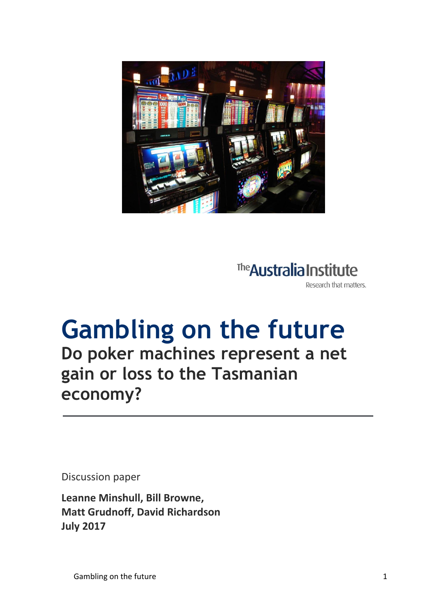

The **Australia Institute** Research that matters.

## **Gambling on the future Do poker machines represent a net gain or loss to the Tasmanian economy?**

Discussion paper

**Leanne Minshull, Bill Browne, Matt Grudnoff, David Richardson July 2017**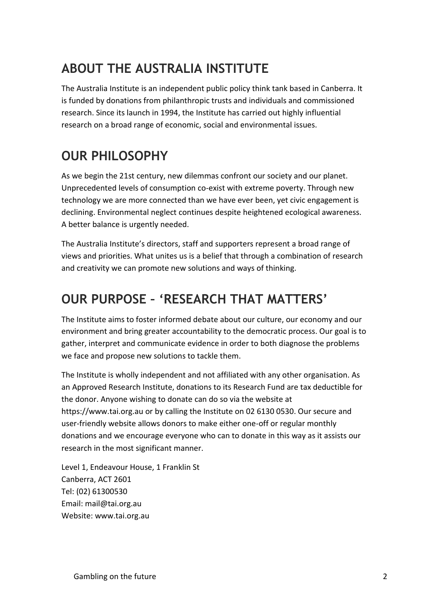### **ABOUT THE AUSTRALIA INSTITUTE**

The Australia Institute is an independent public policy think tank based in Canberra. It is funded by donations from philanthropic trusts and individuals and commissioned research. Since its launch in 1994, the Institute has carried out highly influential research on a broad range of economic, social and environmental issues.

### **OUR PHILOSOPHY**

As we begin the 21st century, new dilemmas confront our society and our planet. Unprecedented levels of consumption co-exist with extreme poverty. Through new technology we are more connected than we have ever been, yet civic engagement is declining. Environmental neglect continues despite heightened ecological awareness. A better balance is urgently needed.

The Australia Institute's directors, staff and supporters represent a broad range of views and priorities. What unites us is a belief that through a combination of research and creativity we can promote new solutions and ways of thinking.

#### **OUR PURPOSE – 'RESEARCH THAT MATTERS'**

The Institute aims to foster informed debate about our culture, our economy and our environment and bring greater accountability to the democratic process. Our goal is to gather, interpret and communicate evidence in order to both diagnose the problems we face and propose new solutions to tackle them.

The Institute is wholly independent and not affiliated with any other organisation. As an Approved Research Institute, donations to its Research Fund are tax deductible for the donor. Anyone wishing to donate can do so via the website at https://www.tai.org.au or by calling the Institute on 02 6130 0530. Our secure and user-friendly website allows donors to make either one-off or regular monthly donations and we encourage everyone who can to donate in this way as it assists our research in the most significant manner.

Level 1, Endeavour House, 1 Franklin St Canberra, ACT 2601 Tel: (02) 61300530 Email: mail@tai.org.au Website: www.tai.org.au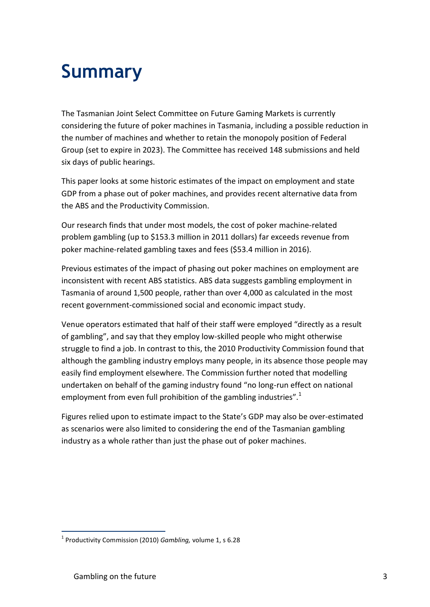# **Summary**

The Tasmanian Joint Select Committee on Future Gaming Markets is currently considering the future of poker machines in Tasmania, including a possible reduction in the number of machines and whether to retain the monopoly position of Federal Group (set to expire in 2023). The Committee has received 148 submissions and held six days of public hearings.

This paper looks at some historic estimates of the impact on employment and state GDP from a phase out of poker machines, and provides recent alternative data from the ABS and the Productivity Commission.

Our research finds that under most models, the cost of poker machine-related problem gambling (up to \$153.3 million in 2011 dollars) far exceeds revenue from poker machine-related gambling taxes and fees (\$53.4 million in 2016).

Previous estimates of the impact of phasing out poker machines on employment are inconsistent with recent ABS statistics. ABS data suggests gambling employment in Tasmania of around 1,500 people, rather than over 4,000 as calculated in the most recent government-commissioned social and economic impact study.

Venue operators estimated that half of their staff were employed "directly as a result of gambling", and say that they employ low-skilled people who might otherwise struggle to find a job. In contrast to this, the 2010 Productivity Commission found that although the gambling industry employs many people, in its absence those people may easily find employment elsewhere. The Commission further noted that modelling undertaken on behalf of the gaming industry found "no long-run effect on national employment from even full prohibition of the gambling industries". $1$ 

Figures relied upon to estimate impact to the State's GDP may also be over-estimated as scenarios were also limited to considering the end of the Tasmanian gambling industry as a whole rather than just the phase out of poker machines.

<sup>1</sup> Productivity Commission (2010) *Gambling,* volume 1, s 6.28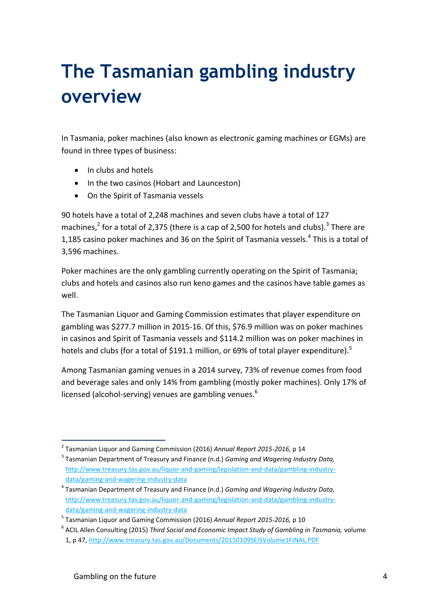# **The Tasmanian gambling industry overview**

In Tasmania, poker machines (also known as electronic gaming machines or EGMs) are found in three types of business:

- In clubs and hotels
- In the two casinos (Hobart and Launceston)
- On the Spirit of Tasmania vessels

90 hotels have a total of 2,248 machines and seven clubs have a total of 127 machines,<sup>2</sup> for a total of 2,375 (there is a cap of 2,500 for hotels and clubs).<sup>3</sup> There are 1,185 casino poker machines and 36 on the Spirit of Tasmania vessels.<sup>4</sup> This is a total of 3,596 machines.

Poker machines are the only gambling currently operating on the Spirit of Tasmania; clubs and hotels and casinos also run keno games and the casinos have table games as well.

The Tasmanian Liquor and Gaming Commission estimates that player expenditure on gambling was \$277.7 million in 2015-16. Of this, \$76.9 million was on poker machines in casinos and Spirit of Tasmania vessels and \$114.2 million was on poker machines in hotels and clubs (for a total of \$191.1 million, or 69% of total player expenditure).<sup>5</sup>

Among Tasmanian gaming venues in a 2014 survey, 73% of revenue comes from food and beverage sales and only 14% from gambling (mostly poker machines). Only 17% of licensed (alcohol-serving) venues are gambling venues. $<sup>6</sup>$ </sup>

 2 Tasmanian Liquor and Gaming Commission (2016) *Annual Report 2015-2016,* p 14

<sup>3</sup> Tasmanian Department of Treasury and Finance (n.d.) *Gaming and Wagering Industry Data,*  [http://www.treasury.tas.gov.au/liquor-and-gaming/legislation-and-data/gambling-industry](http://www.treasury.tas.gov.au/liquor-and-gaming/legislation-and-data/gambling-industry-data/gaming-and-wagering-industry-data)[data/gaming-and-wagering-industry-data](http://www.treasury.tas.gov.au/liquor-and-gaming/legislation-and-data/gambling-industry-data/gaming-and-wagering-industry-data)

<sup>4</sup> Tasmanian Department of Treasury and Finance (n.d.) *Gaming and Wagering Industry Data,*  [http://www.treasury.tas.gov.au/liquor-and-gaming/legislation-and-data/gambling-industry](http://www.treasury.tas.gov.au/liquor-and-gaming/legislation-and-data/gambling-industry-data/gaming-and-wagering-industry-data)[data/gaming-and-wagering-industry-data](http://www.treasury.tas.gov.au/liquor-and-gaming/legislation-and-data/gambling-industry-data/gaming-and-wagering-industry-data)

<sup>5</sup> Tasmanian Liquor and Gaming Commission (2016) *Annual Report 2015-2016,* p 10

<sup>6</sup> ACIL Allen Consulting (2015) *Third Social and Economic Impact Study of Gambling in Tasmania,* volume

<sup>1,</sup> p 47,<http://www.treasury.tas.gov.au/Documents/20150109SEISVolume1FINAL.PDF>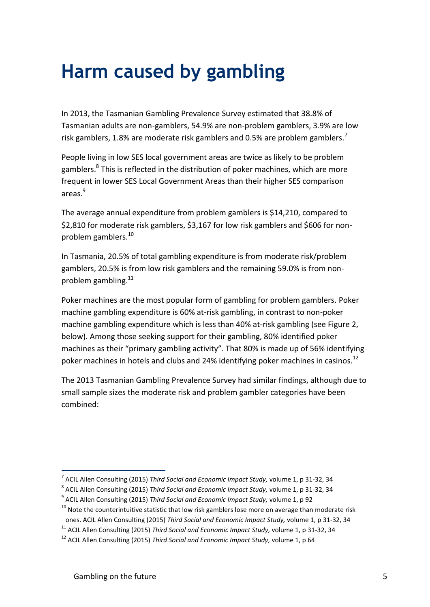### **Harm caused by gambling**

In 2013, the Tasmanian Gambling Prevalence Survey estimated that 38.8% of Tasmanian adults are non-gamblers, 54.9% are non-problem gamblers, 3.9% are low risk gamblers, 1.8% are moderate risk gamblers and 0.5% are problem gamblers.<sup>7</sup>

People living in low SES local government areas are twice as likely to be problem gamblers.<sup>8</sup> This is reflected in the distribution of poker machines, which are more frequent in lower SES Local Government Areas than their higher SES comparison areas.<sup>9</sup>

The average annual expenditure from problem gamblers is \$14,210, compared to \$2,810 for moderate risk gamblers, \$3,167 for low risk gamblers and \$606 for nonproblem gamblers.<sup>10</sup>

In Tasmania, 20.5% of total gambling expenditure is from moderate risk/problem gamblers, 20.5% is from low risk gamblers and the remaining 59.0% is from nonproblem gambling.<sup>11</sup>

Poker machines are the most popular form of gambling for problem gamblers. Poker machine gambling expenditure is 60% at-risk gambling, in contrast to non-poker machine gambling expenditure which is less than 40% at-risk gambling (see Figure 2, below). Among those seeking support for their gambling, 80% identified poker machines as their "primary gambling activity". That 80% is made up of 56% identifying poker machines in hotels and clubs and 24% identifying poker machines in casinos.<sup>12</sup>

The 2013 Tasmanian Gambling Prevalence Survey had similar findings, although due to small sample sizes the moderate risk and problem gambler categories have been combined:

<sup>7</sup> ACIL Allen Consulting (2015) *Third Social and Economic Impact Study,* volume 1, p 31-32, 34

<sup>8</sup> ACIL Allen Consulting (2015) *Third Social and Economic Impact Study,* volume 1, p 31-32, 34

<sup>9</sup> ACIL Allen Consulting (2015) *Third Social and Economic Impact Study,* volume 1, p 92

 $10$  Note the counterintuitive statistic that low risk gamblers lose more on average than moderate risk ones. ACIL Allen Consulting (2015) *Third Social and Economic Impact Study,* volume 1, p 31-32, 34

<sup>11</sup> ACIL Allen Consulting (2015) *Third Social and Economic Impact Study,* volume 1, p 31-32, 34

<sup>12</sup> ACIL Allen Consulting (2015) *Third Social and Economic Impact Study,* volume 1, p 64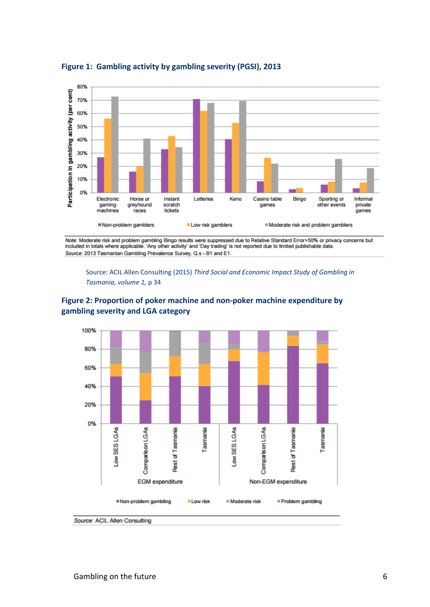

#### **Figure 1: Gambling activity by gambling severity (PGSI), 2013**

Note: Moderate risk and problem gambling Bingo results were suppressed due to Relative Standard Error>50% or privacy concerns but included in totals where applicable. 'Any other activity' and 'Day trading' is not reported due to limited publishable data. Source: 2013 Tasmanian Gambling Prevalence Survey, Q.s - B1 and E1.

Source: ACIL Allen Consulting (2015) *Third Social and Economic Impact Study of Gambling in Tasmania, volume 1,* p 34





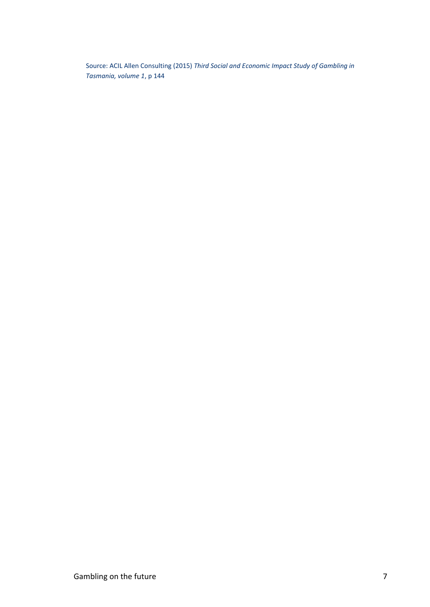Source: ACIL Allen Consulting (2015) *Third Social and Economic Impact Study of Gambling in Tasmania, volume 1*, p 144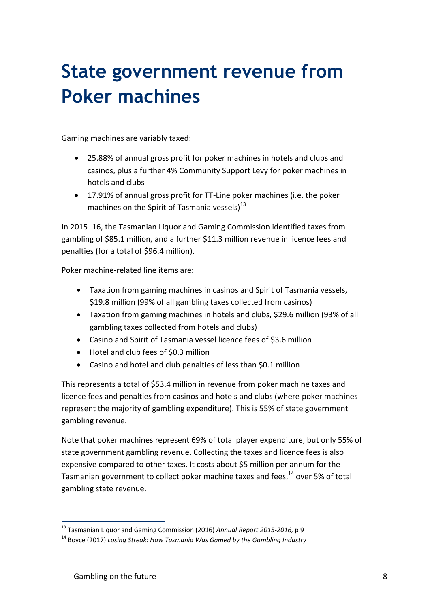# **State government revenue from Poker machines**

Gaming machines are variably taxed:

- 25.88% of annual gross profit for poker machines in hotels and clubs and casinos, plus a further 4% Community Support Levy for poker machines in hotels and clubs
- 17.91% of annual gross profit for TT-Line poker machines (i.e. the poker machines on the Spirit of Tasmania vessels) $^{13}$

In 2015–16, the Tasmanian Liquor and Gaming Commission identified taxes from gambling of \$85.1 million, and a further \$11.3 million revenue in licence fees and penalties (for a total of \$96.4 million).

Poker machine-related line items are:

- Taxation from gaming machines in casinos and Spirit of Tasmania vessels, \$19.8 million (99% of all gambling taxes collected from casinos)
- Taxation from gaming machines in hotels and clubs, \$29.6 million (93% of all gambling taxes collected from hotels and clubs)
- Casino and Spirit of Tasmania vessel licence fees of \$3.6 million
- Hotel and club fees of \$0.3 million
- Casino and hotel and club penalties of less than \$0.1 million

This represents a total of \$53.4 million in revenue from poker machine taxes and licence fees and penalties from casinos and hotels and clubs (where poker machines represent the majority of gambling expenditure). This is 55% of state government gambling revenue.

Note that poker machines represent 69% of total player expenditure, but only 55% of state government gambling revenue. Collecting the taxes and licence fees is also expensive compared to other taxes. It costs about \$5 million per annum for the Tasmanian government to collect poker machine taxes and fees,<sup>14</sup> over 5% of total gambling state revenue.

<sup>13</sup> Tasmanian Liquor and Gaming Commission (2016) *Annual Report 2015-2016,* p 9

<sup>14</sup> Boyce (2017) *Losing Streak: How Tasmania Was Gamed by the Gambling Industry*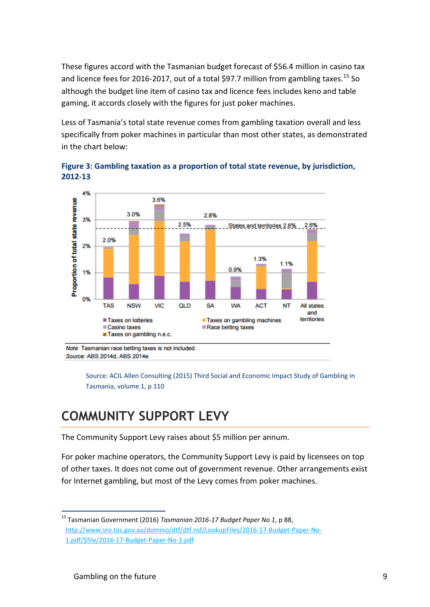These figures accord with the Tasmanian budget forecast of \$56.4 million in casino tax and licence fees for 2016-2017, out of a total \$97.7 million from gambling taxes.<sup>15</sup> So although the budget line item of casino tax and licence fees includes keno and table gaming, it accords closely with the figures for just poker machines.

Less of Tasmania's total state revenue comes from gambling taxation overall and less specifically from poker machines in particular than most other states, as demonstrated in the chart below:



**Figure 3: Gambling taxation as a proportion of total state revenue, by jurisdiction, 2012-13**

Note: Tasmanian race betting taxes is not included. Source: ABS 2014d, ABS 2014e

> Source: ACIL Allen Consulting (2015) Third Social and Economic Impact Study of Gambling in Tasmania, volume 1, p 110

#### **COMMUNITY SUPPORT LEVY**

The Community Support Levy raises about \$5 million per annum.

For poker machine operators, the Community Support Levy is paid by licensees on top of other taxes. It does not come out of government revenue. Other arrangements exist for Internet gambling, but most of the Levy comes from poker machines.

<sup>1</sup> <sup>15</sup> Tasmanian Government (2016) *Tasmanian 2016-17 Budget Paper No 1*, p 88, [http://www.sro.tas.gov.au/domino/dtf/dtf.nsf/LookupFiles/2016-17-Budget-Paper-No-](http://www.sro.tas.gov.au/domino/dtf/dtf.nsf/LookupFiles/2016-17-Budget-Paper-No-1.pdf/$file/2016-17-Budget-Paper-No-1.pdf)[1.pdf/\\$file/2016-17-Budget-Paper-No-1.pdf](http://www.sro.tas.gov.au/domino/dtf/dtf.nsf/LookupFiles/2016-17-Budget-Paper-No-1.pdf/$file/2016-17-Budget-Paper-No-1.pdf)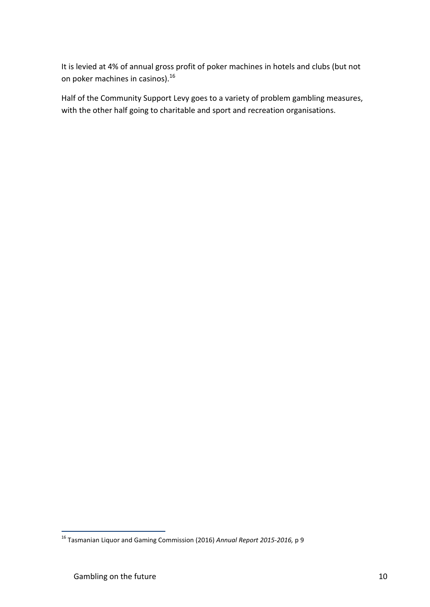It is levied at 4% of annual gross profit of poker machines in hotels and clubs (but not on poker machines in casinos).<sup>16</sup>

Half of the Community Support Levy goes to a variety of problem gambling measures, with the other half going to charitable and sport and recreation organisations.

<sup>16</sup> Tasmanian Liquor and Gaming Commission (2016) *Annual Report 2015-2016,* p 9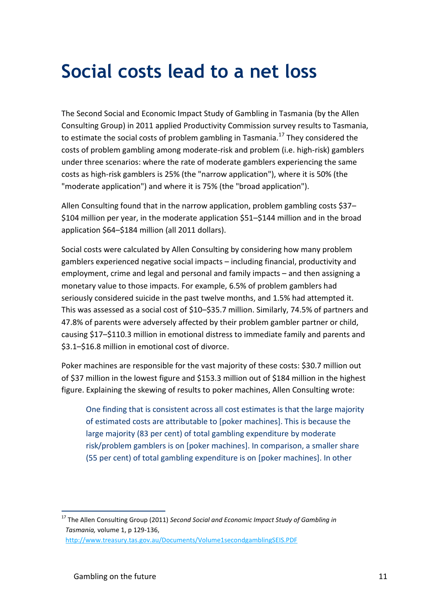### **Social costs lead to a net loss**

The Second Social and Economic Impact Study of Gambling in Tasmania (by the Allen Consulting Group) in 2011 applied Productivity Commission survey results to Tasmania, to estimate the social costs of problem gambling in Tasmania.<sup>17</sup> They considered the costs of problem gambling among moderate-risk and problem (i.e. high-risk) gamblers under three scenarios: where the rate of moderate gamblers experiencing the same costs as high-risk gamblers is 25% (the "narrow application"), where it is 50% (the "moderate application") and where it is 75% (the "broad application").

Allen Consulting found that in the narrow application, problem gambling costs \$37– \$104 million per year, in the moderate application \$51–\$144 million and in the broad application \$64–\$184 million (all 2011 dollars).

Social costs were calculated by Allen Consulting by considering how many problem gamblers experienced negative social impacts – including financial, productivity and employment, crime and legal and personal and family impacts – and then assigning a monetary value to those impacts. For example, 6.5% of problem gamblers had seriously considered suicide in the past twelve months, and 1.5% had attempted it. This was assessed as a social cost of \$10–\$35.7 million. Similarly, 74.5% of partners and 47.8% of parents were adversely affected by their problem gambler partner or child, causing \$17–\$110.3 million in emotional distress to immediate family and parents and \$3.1–\$16.8 million in emotional cost of divorce.

Poker machines are responsible for the vast majority of these costs: \$30.7 million out of \$37 million in the lowest figure and \$153.3 million out of \$184 million in the highest figure. Explaining the skewing of results to poker machines, Allen Consulting wrote:

One finding that is consistent across all cost estimates is that the large majority of estimated costs are attributable to [poker machines]. This is because the large majority (83 per cent) of total gambling expenditure by moderate risk/problem gamblers is on [poker machines]. In comparison, a smaller share (55 per cent) of total gambling expenditure is on [poker machines]. In other

<sup>1</sup> <sup>17</sup> The Allen Consulting Group (2011) *Second Social and Economic Impact Study of Gambling in Tasmania,* volume 1, p 129-136,

<http://www.treasury.tas.gov.au/Documents/Volume1secondgamblingSEIS.PDF>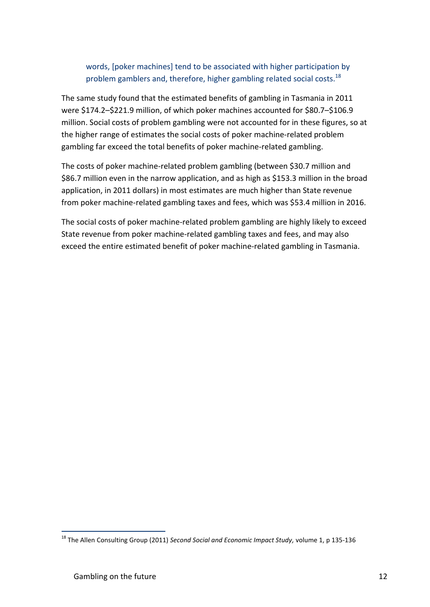#### words, [poker machines] tend to be associated with higher participation by problem gamblers and, therefore, higher gambling related social costs.<sup>18</sup>

The same study found that the estimated benefits of gambling in Tasmania in 2011 were \$174.2–\$221.9 million, of which poker machines accounted for \$80.7–\$106.9 million. Social costs of problem gambling were not accounted for in these figures, so at the higher range of estimates the social costs of poker machine-related problem gambling far exceed the total benefits of poker machine-related gambling.

The costs of poker machine-related problem gambling (between \$30.7 million and \$86.7 million even in the narrow application, and as high as \$153.3 million in the broad application, in 2011 dollars) in most estimates are much higher than State revenue from poker machine-related gambling taxes and fees, which was \$53.4 million in 2016.

The social costs of poker machine-related problem gambling are highly likely to exceed State revenue from poker machine-related gambling taxes and fees, and may also exceed the entire estimated benefit of poker machine-related gambling in Tasmania.

<sup>18</sup> The Allen Consulting Group (2011) *Second Social and Economic Impact Study,* volume 1, p 135-136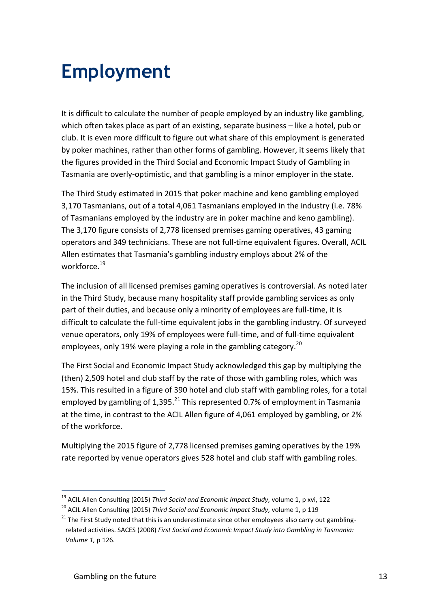### **Employment**

It is difficult to calculate the number of people employed by an industry like gambling, which often takes place as part of an existing, separate business – like a hotel, pub or club. It is even more difficult to figure out what share of this employment is generated by poker machines, rather than other forms of gambling. However, it seems likely that the figures provided in the Third Social and Economic Impact Study of Gambling in Tasmania are overly-optimistic, and that gambling is a minor employer in the state.

The Third Study estimated in 2015 that poker machine and keno gambling employed 3,170 Tasmanians, out of a total 4,061 Tasmanians employed in the industry (i.e. 78% of Tasmanians employed by the industry are in poker machine and keno gambling). The 3,170 figure consists of 2,778 licensed premises gaming operatives, 43 gaming operators and 349 technicians. These are not full-time equivalent figures. Overall, ACIL Allen estimates that Tasmania's gambling industry employs about 2% of the workforce.<sup>19</sup>

The inclusion of all licensed premises gaming operatives is controversial. As noted later in the Third Study, because many hospitality staff provide gambling services as only part of their duties, and because only a minority of employees are full-time, it is difficult to calculate the full-time equivalent jobs in the gambling industry. Of surveyed venue operators, only 19% of employees were full-time, and of full-time equivalent employees, only 19% were playing a role in the gambling category.<sup>20</sup>

The First Social and Economic Impact Study acknowledged this gap by multiplying the (then) 2,509 hotel and club staff by the rate of those with gambling roles, which was 15%. This resulted in a figure of 390 hotel and club staff with gambling roles, for a total employed by gambling of 1,395.<sup>21</sup> This represented 0.7% of employment in Tasmania at the time, in contrast to the ACIL Allen figure of 4,061 employed by gambling, or 2% of the workforce.

Multiplying the 2015 figure of 2,778 licensed premises gaming operatives by the 19% rate reported by venue operators gives 528 hotel and club staff with gambling roles.

<sup>1</sup> <sup>19</sup> ACIL Allen Consulting (2015) *Third Social and Economic Impact Study,* volume 1, p xvi, 122

<sup>20</sup> ACIL Allen Consulting (2015) *Third Social and Economic Impact Study,* volume 1, p 119

 $21$  The First Study noted that this is an underestimate since other employees also carry out gamblingrelated activities. SACES (2008) *First Social and Economic Impact Study into Gambling in Tasmania: Volume 1,* p 126.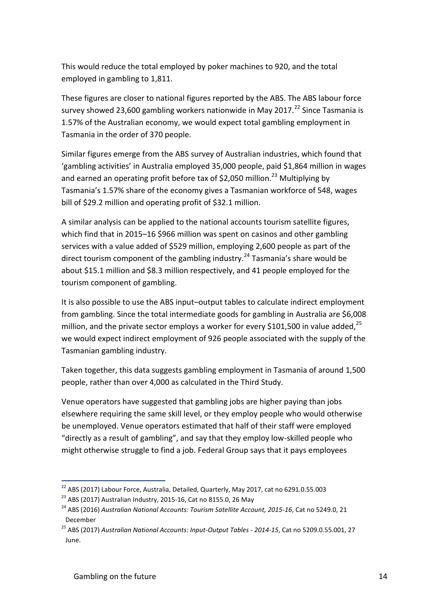This would reduce the total employed by poker machines to 920, and the total employed in gambling to 1,811.

These figures are closer to national figures reported by the ABS. The ABS labour force survey showed 23,600 gambling workers nationwide in May 2017.<sup>22</sup> Since Tasmania is 1.57% of the Australian economy, we would expect total gambling employment in Tasmania in the order of 370 people.

Similar figures emerge from the ABS survey of Australian industries, which found that 'gambling activities' in Australia employed 35,000 people, paid \$1,864 million in wages and earned an operating profit before tax of \$2,050 million.<sup>23</sup> Multiplying by Tasmania's 1.57% share of the economy gives a Tasmanian workforce of 548, wages bill of \$29.2 million and operating profit of \$32.1 million.

A similar analysis can be applied to the national accounts tourism satellite figures, which find that in 2015–16 \$966 million was spent on casinos and other gambling services with a value added of \$529 million, employing 2,600 people as part of the direct tourism component of the gambling industry.<sup>24</sup> Tasmania's share would be about \$15.1 million and \$8.3 million respectively, and 41 people employed for the tourism component of gambling.

It is also possible to use the ABS input–output tables to calculate indirect employment from gambling. Since the total intermediate goods for gambling in Australia are \$6,008 million, and the private sector employs a worker for every \$101,500 in value added,  $^{25}$ we would expect indirect employment of 926 people associated with the supply of the Tasmanian gambling industry.

Taken together, this data suggests gambling employment in Tasmania of around 1,500 people, rather than over 4,000 as calculated in the Third Study.

Venue operators have suggested that gambling jobs are higher paying than jobs elsewhere requiring the same skill level, or they employ people who would otherwise be unemployed. Venue operators estimated that half of their staff were employed "directly as a result of gambling", and say that they employ low-skilled people who might otherwise struggle to find a job. Federal Group says that it pays employees

 $^{22}$  ABS (2017) Labour Force, Australia, Detailed, Quarterly, May 2017, cat no 6291.0.55.003

<sup>&</sup>lt;sup>23</sup> ABS (2017) Australian Industry, 2015-16, Cat no 8155.0, 26 May

<sup>24</sup> ABS (2016) *Australian National Accounts: Tourism Satellite Account, 2015-16*, Cat no 5249.0, 21 December

<sup>25</sup> ABS (2017) *Australian National Accounts: Input-Output Tables - 2014-15*, Cat no 5209.0.55.001, 27 June.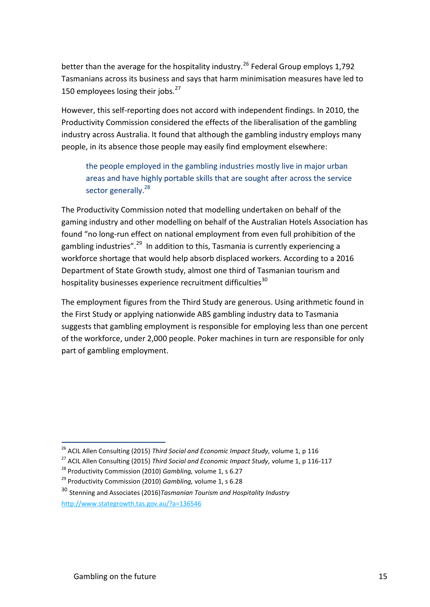better than the average for the hospitality industry.<sup>26</sup> Federal Group employs 1,792 Tasmanians across its business and says that harm minimisation measures have led to 150 employees losing their jobs. $27$ 

However, this self-reporting does not accord with independent findings. In 2010, the Productivity Commission considered the effects of the liberalisation of the gambling industry across Australia. It found that although the gambling industry employs many people, in its absence those people may easily find employment elsewhere:

the people employed in the gambling industries mostly live in major urban areas and have highly portable skills that are sought after across the service sector generally.<sup>28</sup>

The Productivity Commission noted that modelling undertaken on behalf of the gaming industry and other modelling on behalf of the Australian Hotels Association has found "no long-run effect on national employment from even full prohibition of the gambling industries".<sup>29</sup> In addition to this, Tasmania is currently experiencing a workforce shortage that would help absorb displaced workers. According to a 2016 Department of State Growth study, almost one third of Tasmanian tourism and hospitality businesses experience recruitment difficulties<sup>30</sup>

The employment figures from the Third Study are generous. Using arithmetic found in the First Study or applying nationwide ABS gambling industry data to Tasmania suggests that gambling employment is responsible for employing less than one percent of the workforce, under 2,000 people. Poker machines in turn are responsible for only part of gambling employment.

<sup>26</sup> ACIL Allen Consulting (2015) *Third Social and Economic Impact Study,* volume 1, p 116

<sup>27</sup> ACIL Allen Consulting (2015) *Third Social and Economic Impact Study,* volume 1, p 116-117

<sup>28</sup> Productivity Commission (2010) *Gambling,* volume 1, s 6.27

<sup>29</sup> Productivity Commission (2010) *Gambling,* volume 1, s 6.28

<sup>30</sup> Stenning and Associates (2016)*Tasmanian Tourism and Hospitality Industry* <http://www.stategrowth.tas.gov.au/?a=136546>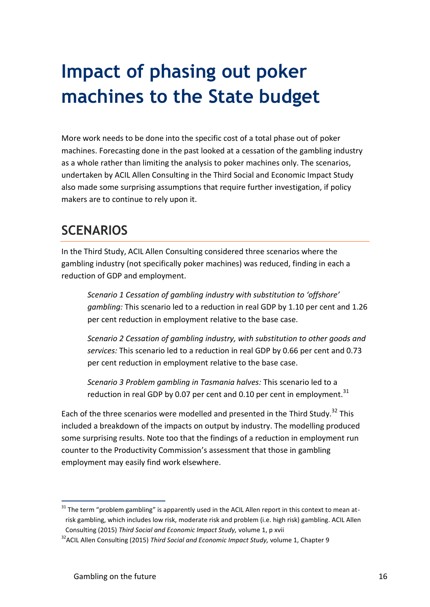# **Impact of phasing out poker machines to the State budget**

More work needs to be done into the specific cost of a total phase out of poker machines. Forecasting done in the past looked at a cessation of the gambling industry as a whole rather than limiting the analysis to poker machines only. The scenarios, undertaken by ACIL Allen Consulting in the Third Social and Economic Impact Study also made some surprising assumptions that require further investigation, if policy makers are to continue to rely upon it.

#### **SCENARIOS**

In the Third Study, ACIL Allen Consulting considered three scenarios where the gambling industry (not specifically poker machines) was reduced, finding in each a reduction of GDP and employment.

*Scenario 1 Cessation of gambling industry with substitution to 'offshore' gambling:* This scenario led to a reduction in real GDP by 1.10 per cent and 1.26 per cent reduction in employment relative to the base case.

*Scenario 2 Cessation of gambling industry, with substitution to other goods and services:* This scenario led to a reduction in real GDP by 0.66 per cent and 0.73 per cent reduction in employment relative to the base case.

*Scenario 3 Problem gambling in Tasmania halves:* This scenario led to a reduction in real GDP by 0.07 per cent and 0.10 per cent in employment. $31$ 

Each of the three scenarios were modelled and presented in the Third Study.<sup>32</sup> This included a breakdown of the impacts on output by industry. The modelling produced some surprising results. Note too that the findings of a reduction in employment run counter to the Productivity Commission's assessment that those in gambling employment may easily find work elsewhere.

<sup>1</sup>  $31$  The term "problem gambling" is apparently used in the ACIL Allen report in this context to mean atrisk gambling, which includes low risk, moderate risk and problem (i.e. high risk) gambling. ACIL Allen Consulting (2015) *Third Social and Economic Impact Study,* volume 1, p xvii

<sup>32</sup>ACIL Allen Consulting (2015) *Third Social and Economic Impact Study,* volume 1, Chapter 9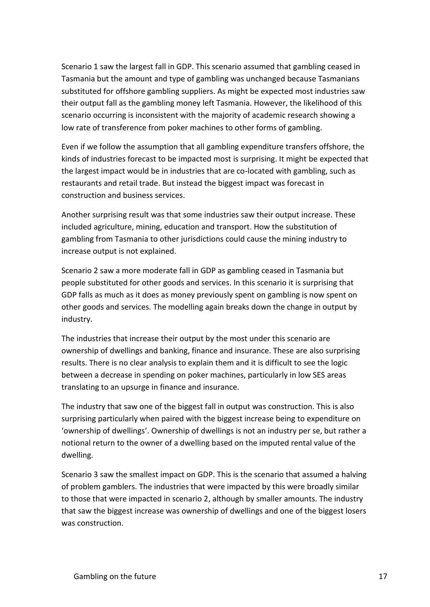Scenario 1 saw the largest fall in GDP. This scenario assumed that gambling ceased in Tasmania but the amount and type of gambling was unchanged because Tasmanians substituted for offshore gambling suppliers. As might be expected most industries saw their output fall as the gambling money left Tasmania. However, the likelihood of this scenario occurring is inconsistent with the majority of academic research showing a low rate of transference from poker machines to other forms of gambling.

Even if we follow the assumption that all gambling expenditure transfers offshore, the kinds of industries forecast to be impacted most is surprising. It might be expected that the largest impact would be in industries that are co-located with gambling, such as restaurants and retail trade. But instead the biggest impact was forecast in construction and business services.

Another surprising result was that some industries saw their output increase. These included agriculture, mining, education and transport. How the substitution of gambling from Tasmania to other jurisdictions could cause the mining industry to increase output is not explained.

Scenario 2 saw a more moderate fall in GDP as gambling ceased in Tasmania but people substituted for other goods and services. In this scenario it is surprising that GDP falls as much as it does as money previously spent on gambling is now spent on other goods and services. The modelling again breaks down the change in output by industry.

The industries that increase their output by the most under this scenario are ownership of dwellings and banking, finance and insurance. These are also surprising results. There is no clear analysis to explain them and it is difficult to see the logic between a decrease in spending on poker machines, particularly in low SES areas translating to an upsurge in finance and insurance.

The industry that saw one of the biggest fall in output was construction. This is also surprising particularly when paired with the biggest increase being to expenditure on 'ownership of dwellings'. Ownership of dwellings is not an industry per se, but rather a notional return to the owner of a dwelling based on the imputed rental value of the dwelling.

Scenario 3 saw the smallest impact on GDP. This is the scenario that assumed a halving of problem gamblers. The industries that were impacted by this were broadly similar to those that were impacted in scenario 2, although by smaller amounts. The industry that saw the biggest increase was ownership of dwellings and one of the biggest losers was construction.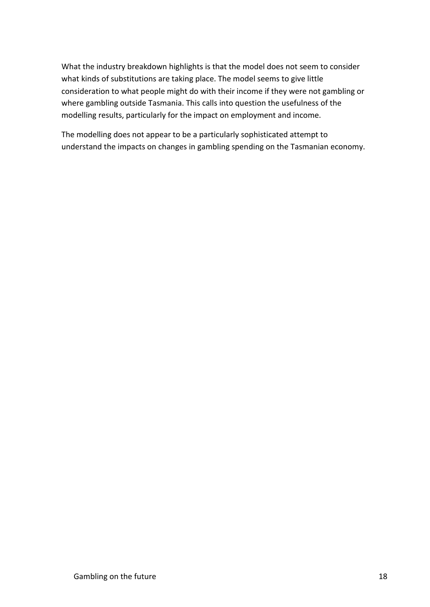What the industry breakdown highlights is that the model does not seem to consider what kinds of substitutions are taking place. The model seems to give little consideration to what people might do with their income if they were not gambling or where gambling outside Tasmania. This calls into question the usefulness of the modelling results, particularly for the impact on employment and income.

The modelling does not appear to be a particularly sophisticated attempt to understand the impacts on changes in gambling spending on the Tasmanian economy.